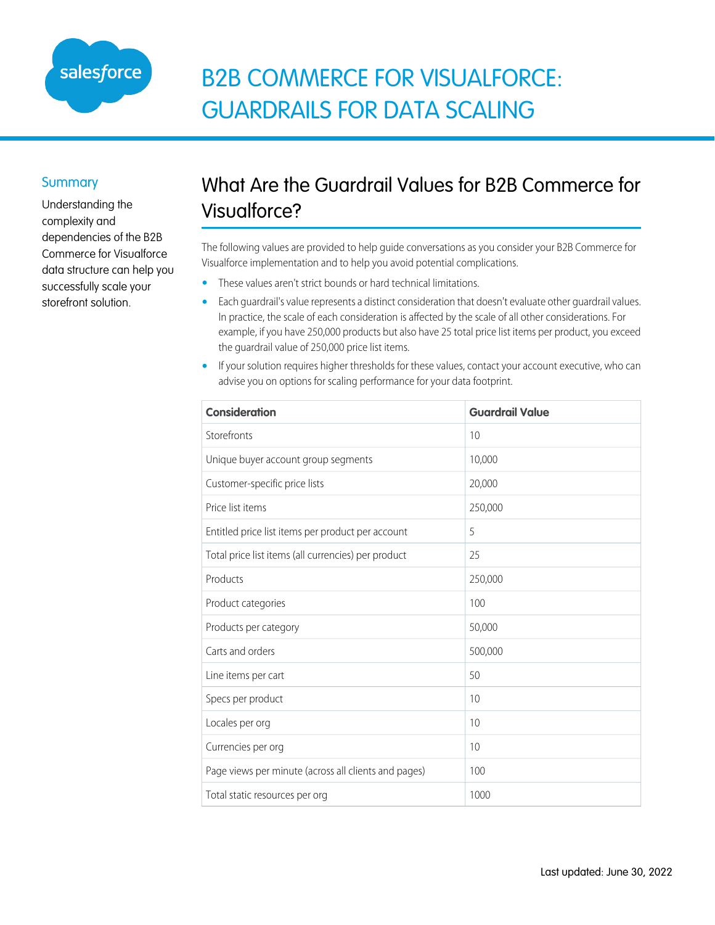

## B2B COMMERCE FOR VISUALFORCE: GUARDRAILS FOR DATA SCALING

## **Summary**

Understanding the complexity and dependencies of the B2B Commerce for Visualforce data structure can help you successfully scale your storefront solution.

## What Are the Guardrail Values for B2B Commerce for Visualforce?

The following values are provided to help guide conversations as you consider your B2B Commerce for Visualforce implementation and to help you avoid potential complications.

- **•** These values aren't strict bounds or hard technical limitations.
- **•** Each guardrail's value represents a distinct consideration that doesn't evaluate other guardrail values. In practice, the scale of each consideration is affected by the scale of all other considerations. For example, if you have 250,000 products but also have 25 total price list items per product, you exceed the guardrail value of 250,000 price list items.
- **•** If your solution requires higher thresholds for these values, contact your account executive, who can advise you on options for scaling performance for your data footprint.

| <b>Consideration</b>                                 | <b>Guardrail Value</b> |
|------------------------------------------------------|------------------------|
| Storefronts                                          | 10                     |
| Unique buyer account group segments                  | 10,000                 |
| Customer-specific price lists                        | 20,000                 |
| Price list items                                     | 250,000                |
| Entitled price list items per product per account    | 5                      |
| Total price list items (all currencies) per product  | 25                     |
| Products                                             | 250,000                |
| Product categories                                   | 100                    |
| Products per category                                | 50,000                 |
| Carts and orders                                     | 500,000                |
| Line items per cart                                  | 50                     |
| Specs per product                                    | 10                     |
| Locales per org                                      | 10                     |
| Currencies per org                                   | 10                     |
| Page views per minute (across all clients and pages) | 100                    |
| Total static resources per org                       | 1000                   |